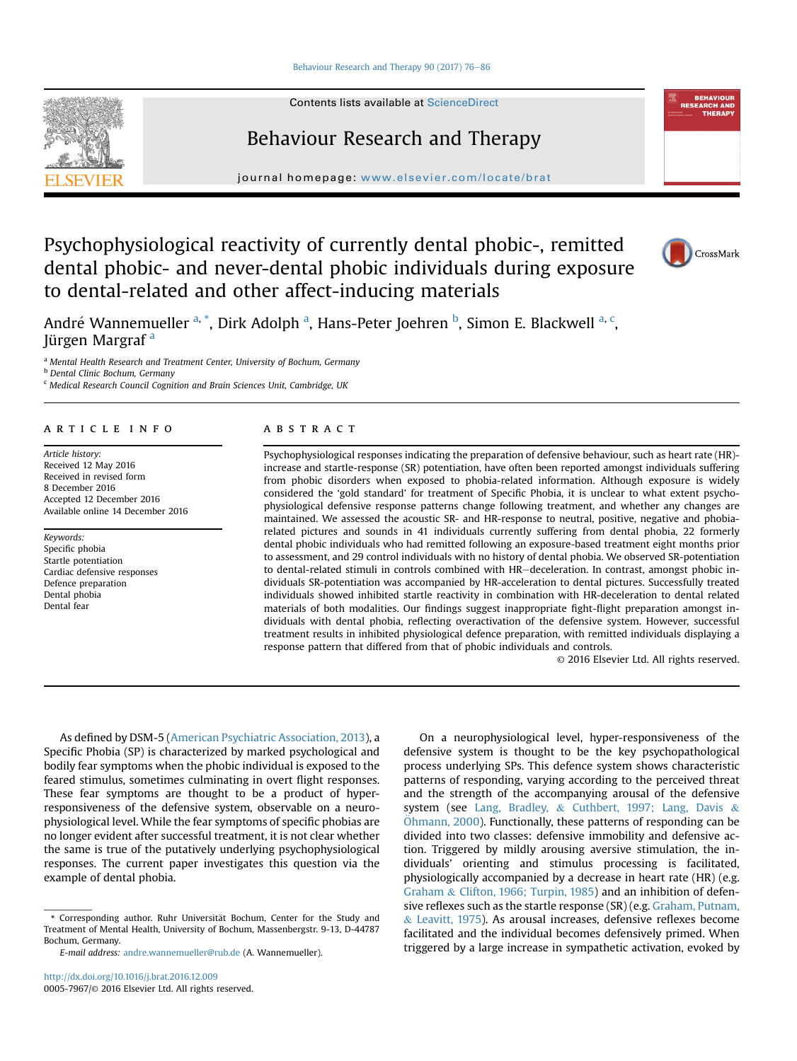### [Behaviour Research and Therapy 90 \(2017\) 76](http://dx.doi.org/10.1016/j.brat.2016.12.009)-[86](http://dx.doi.org/10.1016/j.brat.2016.12.009)

Contents lists available at ScienceDirect

# Behaviour Research and Therapy

journal homepage: [www.elsevier.com/locate/brat](http://www.elsevier.com/locate/brat)

# Psychophysiological reactivity of currently dental phobic-, remitted dental phobic- and never-dental phobic individuals during exposure to dental-related and other affect-inducing materials



André Wannemueller <sup>a, \*</sup>, Dirk Adolph <sup>a</sup>, Hans-Peter Joehren <sup>b</sup>, Simon E. Blackwell <sup>a, c</sup>, Jürgen Margraf<sup>a</sup>

a Mental Health Research and Treatment Center, University of Bochum, Germany

<sup>b</sup> Dental Clinic Bochum, Germany

<sup>c</sup> Medical Research Council Cognition and Brain Sciences Unit, Cambridge, UK

# article info

Article history: Received 12 May 2016 Received in revised form 8 December 2016 Accepted 12 December 2016 Available online 14 December 2016

Keywords: Specific phobia Startle potentiation Cardiac defensive responses Defence preparation Dental phobia Dental fear

# **ABSTRACT**

Psychophysiological responses indicating the preparation of defensive behaviour, such as heart rate (HR) increase and startle-response (SR) potentiation, have often been reported amongst individuals suffering from phobic disorders when exposed to phobia-related information. Although exposure is widely considered the 'gold standard' for treatment of Specific Phobia, it is unclear to what extent psychophysiological defensive response patterns change following treatment, and whether any changes are maintained. We assessed the acoustic SR- and HR-response to neutral, positive, negative and phobiarelated pictures and sounds in 41 individuals currently suffering from dental phobia, 22 formerly dental phobic individuals who had remitted following an exposure-based treatment eight months prior to assessment, and 29 control individuals with no history of dental phobia. We observed SR-potentiation to dental-related stimuli in controls combined with HR-deceleration. In contrast, amongst phobic individuals SR-potentiation was accompanied by HR-acceleration to dental pictures. Successfully treated individuals showed inhibited startle reactivity in combination with HR-deceleration to dental related materials of both modalities. Our findings suggest inappropriate fight-flight preparation amongst individuals with dental phobia, reflecting overactivation of the defensive system. However, successful treatment results in inhibited physiological defence preparation, with remitted individuals displaying a response pattern that differed from that of phobic individuals and controls.

© 2016 Elsevier Ltd. All rights reserved.

As defined by DSM-5 ([American Psychiatric Association, 2013\)](#page-9-0), a Specific Phobia (SP) is characterized by marked psychological and bodily fear symptoms when the phobic individual is exposed to the feared stimulus, sometimes culminating in overt flight responses. These fear symptoms are thought to be a product of hyperresponsiveness of the defensive system, observable on a neurophysiological level. While the fear symptoms of specific phobias are no longer evident after successful treatment, it is not clear whether the same is true of the putatively underlying psychophysiological responses. The current paper investigates this question via the example of dental phobia.

On a neurophysiological level, hyper-responsiveness of the defensive system is thought to be the key psychopathological process underlying SPs. This defence system shows characteristic patterns of responding, varying according to the perceived threat and the strength of the accompanying arousal of the defensive system (see [Lang, Bradley,](#page-10-0) & [Cuthbert, 1997; Lang, Davis](#page-10-0) &  $\ddot{\text{O}}$ [hmann, 2000](#page-10-0)). Functionally, these patterns of responding can be divided into two classes: defensive immobility and defensive action. Triggered by mildly arousing aversive stimulation, the individuals' orienting and stimulus processing is facilitated, physiologically accompanied by a decrease in heart rate (HR) (e.g. [Graham](#page-10-0) & [Clifton, 1966; Turpin, 1985](#page-10-0)) and an inhibition of defensive reflexes such as the startle response (SR) (e.g. [Graham, Putnam,](#page-10-0) & [Leavitt, 1975\)](#page-10-0). As arousal increases, defensive reflexes become facilitated and the individual becomes defensively primed. When triggered by a large increase in sympathetic activation, evoked by

<sup>\*</sup> Corresponding author. Ruhr Universität Bochum, Center for the Study and Treatment of Mental Health, University of Bochum, Massenbergstr. 9-13, D-44787 Bochum, Germany.

E-mail address: [andre.wannemueller@rub.de](mailto:andre.wannemueller@rub.de) (A. Wannemueller).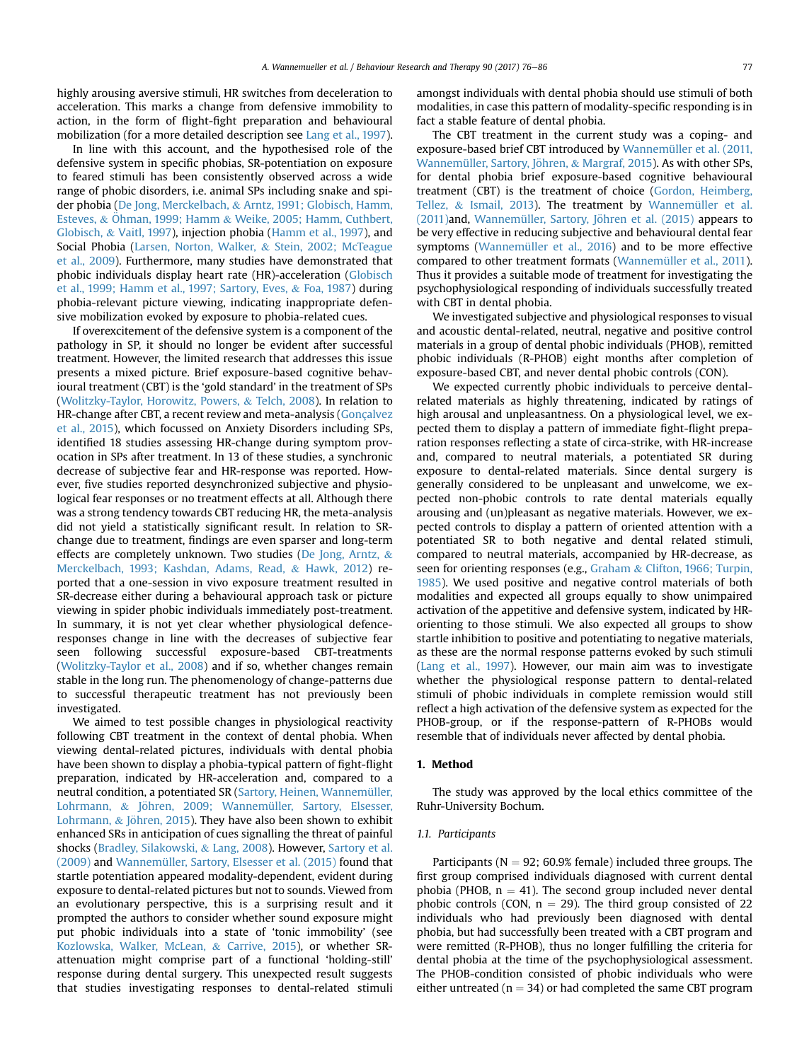highly arousing aversive stimuli, HR switches from deceleration to acceleration. This marks a change from defensive immobility to action, in the form of flight-fight preparation and behavioural mobilization (for a more detailed description see [Lang et al., 1997\)](#page-10-0).

In line with this account, and the hypothesised role of the defensive system in specific phobias, SR-potentiation on exposure to feared stimuli has been consistently observed across a wide range of phobic disorders, i.e. animal SPs including snake and spider phobia [\(De Jong, Merckelbach,](#page-9-0) & [Arntz, 1991; Globisch, Hamm,](#page-9-0) [Esteves,](#page-9-0) & Öhman, 1999; Hamm & [Weike, 2005; Hamm, Cuthbert,](#page-9-0) [Globisch,](#page-9-0) & [Vaitl, 1997](#page-9-0)), injection phobia [\(Hamm et al., 1997\)](#page-10-0), and Social Phobia ([Larsen, Norton, Walker,](#page-10-0) & [Stein, 2002; McTeague](#page-10-0) [et al., 2009\)](#page-10-0). Furthermore, many studies have demonstrated that phobic individuals display heart rate (HR)-acceleration [\(Globisch](#page-10-0) [et al., 1999; Hamm et al., 1997; Sartory, Eves,](#page-10-0) & [Foa, 1987\)](#page-10-0) during phobia-relevant picture viewing, indicating inappropriate defensive mobilization evoked by exposure to phobia-related cues.

If overexcitement of the defensive system is a component of the pathology in SP, it should no longer be evident after successful treatment. However, the limited research that addresses this issue presents a mixed picture. Brief exposure-based cognitive behavioural treatment (CBT) is the 'gold standard' in the treatment of SPs ([Wolitzky-Taylor, Horowitz, Powers,](#page-10-0) & [Telch, 2008](#page-10-0)). In relation to HR-change after CBT, a recent review and meta-analysis ([Gonçalvez](#page-10-0) [et al., 2015\)](#page-10-0), which focussed on Anxiety Disorders including SPs, identified 18 studies assessing HR-change during symptom provocation in SPs after treatment. In 13 of these studies, a synchronic decrease of subjective fear and HR-response was reported. However, five studies reported desynchronized subjective and physiological fear responses or no treatment effects at all. Although there was a strong tendency towards CBT reducing HR, the meta-analysis did not yield a statistically significant result. In relation to SRchange due to treatment, findings are even sparser and long-term effects are completely unknown. Two studies [\(De Jong, Arntz,](#page-9-0) & [Merckelbach, 1993; Kashdan, Adams, Read,](#page-9-0) & [Hawk, 2012](#page-9-0)) reported that a one-session in vivo exposure treatment resulted in SR-decrease either during a behavioural approach task or picture viewing in spider phobic individuals immediately post-treatment. In summary, it is not yet clear whether physiological defenceresponses change in line with the decreases of subjective fear seen following successful exposure-based CBT-treatments ([Wolitzky-Taylor et al., 2008](#page-10-0)) and if so, whether changes remain stable in the long run. The phenomenology of change-patterns due to successful therapeutic treatment has not previously been investigated.

We aimed to test possible changes in physiological reactivity following CBT treatment in the context of dental phobia. When viewing dental-related pictures, individuals with dental phobia have been shown to display a phobia-typical pattern of fight-flight preparation, indicated by HR-acceleration and, compared to a neutral condition, a potentiated SR [\(Sartory, Heinen, Wannemüller,](#page-10-0) [Lohrmann,](#page-10-0) & [J](#page-10-0)ö[hren, 2009; Wannemüller, Sartory, Elsesser,](#page-10-0) [Lohrmann,](#page-10-0)  $&$  [J](#page-10-0)ö[hren, 2015](#page-10-0)). They have also been shown to exhibit enhanced SRs in anticipation of cues signalling the threat of painful shocks [\(Bradley, Silakowski,](#page-9-0) & [Lang, 2008](#page-9-0)). However, [Sartory et al.](#page-10-0) [\(2009\)](#page-10-0) and [Wannemüller, Sartory, Elsesser et al. \(2015\)](#page-10-0) found that startle potentiation appeared modality-dependent, evident during exposure to dental-related pictures but not to sounds. Viewed from an evolutionary perspective, this is a surprising result and it prompted the authors to consider whether sound exposure might put phobic individuals into a state of 'tonic immobility' (see [Kozlowska, Walker, McLean,](#page-10-0) & [Carrive, 2015\)](#page-10-0), or whether SRattenuation might comprise part of a functional 'holding-still' response during dental surgery. This unexpected result suggests that studies investigating responses to dental-related stimuli amongst individuals with dental phobia should use stimuli of both modalities, in case this pattern of modality-specific responding is in fact a stable feature of dental phobia.

The CBT treatment in the current study was a coping- and exposure-based brief CBT introduced by [Wannemüller et al. \(2011,](#page-10-0) Wannemüller, Sartory, Jöhren, & [Margraf, 2015\)](#page-10-0). As with other SPs, for dental phobia brief exposure-based cognitive behavioural treatment (CBT) is the treatment of choice [\(Gordon, Heimberg,](#page-10-0) [Tellez,](#page-10-0) & [Ismail, 2013](#page-10-0)). The treatment by [Wannemüller et al.](#page-10-0)  $(2011)$ and, [Wannemüller, Sartory, J](#page-10-0)öhren et al.  $(2015)$  appears to be very effective in reducing subjective and behavioural dental fear symptoms ([Wannemüller et al., 2016](#page-10-0)) and to be more effective compared to other treatment formats ([Wannemüller et al., 2011\)](#page-10-0). Thus it provides a suitable mode of treatment for investigating the psychophysiological responding of individuals successfully treated with CBT in dental phobia.

We investigated subjective and physiological responses to visual and acoustic dental-related, neutral, negative and positive control materials in a group of dental phobic individuals (PHOB), remitted phobic individuals (R-PHOB) eight months after completion of exposure-based CBT, and never dental phobic controls (CON).

We expected currently phobic individuals to perceive dentalrelated materials as highly threatening, indicated by ratings of high arousal and unpleasantness. On a physiological level, we expected them to display a pattern of immediate fight-flight preparation responses reflecting a state of circa-strike, with HR-increase and, compared to neutral materials, a potentiated SR during exposure to dental-related materials. Since dental surgery is generally considered to be unpleasant and unwelcome, we expected non-phobic controls to rate dental materials equally arousing and (un)pleasant as negative materials. However, we expected controls to display a pattern of oriented attention with a potentiated SR to both negative and dental related stimuli, compared to neutral materials, accompanied by HR-decrease, as seen for orienting responses (e.g., [Graham](#page-10-0) & [Clifton, 1966; Turpin,](#page-10-0) [1985\)](#page-10-0). We used positive and negative control materials of both modalities and expected all groups equally to show unimpaired activation of the appetitive and defensive system, indicated by HRorienting to those stimuli. We also expected all groups to show startle inhibition to positive and potentiating to negative materials, as these are the normal response patterns evoked by such stimuli ([Lang et al., 1997](#page-10-0)). However, our main aim was to investigate whether the physiological response pattern to dental-related stimuli of phobic individuals in complete remission would still reflect a high activation of the defensive system as expected for the PHOB-group, or if the response-pattern of R-PHOBs would resemble that of individuals never affected by dental phobia.

## 1. Method

The study was approved by the local ethics committee of the Ruhr-University Bochum.

#### 1.1. Participants

Participants ( $N = 92$ ; 60.9% female) included three groups. The first group comprised individuals diagnosed with current dental phobia (PHOB,  $n = 41$ ). The second group included never dental phobic controls (CON,  $n = 29$ ). The third group consisted of 22 individuals who had previously been diagnosed with dental phobia, but had successfully been treated with a CBT program and were remitted (R-PHOB), thus no longer fulfilling the criteria for dental phobia at the time of the psychophysiological assessment. The PHOB-condition consisted of phobic individuals who were either untreated ( $n = 34$ ) or had completed the same CBT program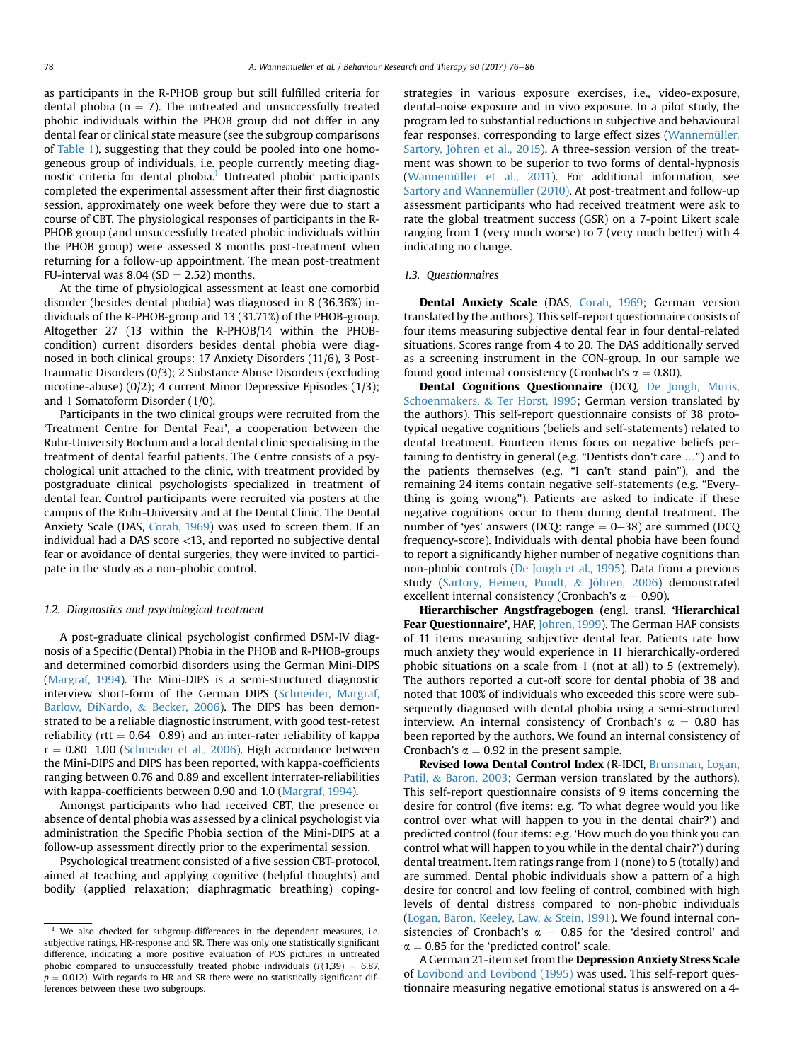as participants in the R-PHOB group but still fulfilled criteria for dental phobia ( $n = 7$ ). The untreated and unsuccessfully treated phobic individuals within the PHOB group did not differ in any dental fear or clinical state measure (see the subgroup comparisons of [Table 1\)](#page-3-0), suggesting that they could be pooled into one homogeneous group of individuals, i.e. people currently meeting diagnostic criteria for dental phobia.<sup>1</sup> Untreated phobic participants completed the experimental assessment after their first diagnostic session, approximately one week before they were due to start a course of CBT. The physiological responses of participants in the R-PHOB group (and unsuccessfully treated phobic individuals within the PHOB group) were assessed 8 months post-treatment when returning for a follow-up appointment. The mean post-treatment FU-interval was  $8.04$  (SD = 2.52) months.

At the time of physiological assessment at least one comorbid disorder (besides dental phobia) was diagnosed in 8 (36.36%) individuals of the R-PHOB-group and 13 (31.71%) of the PHOB-group. Altogether 27 (13 within the R-PHOB/14 within the PHOBcondition) current disorders besides dental phobia were diagnosed in both clinical groups: 17 Anxiety Disorders (11/6), 3 Posttraumatic Disorders (0/3); 2 Substance Abuse Disorders (excluding nicotine-abuse) (0/2); 4 current Minor Depressive Episodes (1/3); and 1 Somatoform Disorder (1/0).

Participants in the two clinical groups were recruited from the 'Treatment Centre for Dental Fear', a cooperation between the Ruhr-University Bochum and a local dental clinic specialising in the treatment of dental fearful patients. The Centre consists of a psychological unit attached to the clinic, with treatment provided by postgraduate clinical psychologists specialized in treatment of dental fear. Control participants were recruited via posters at the campus of the Ruhr-University and at the Dental Clinic. The Dental Anxiety Scale (DAS, [Corah, 1969\)](#page-9-0) was used to screen them. If an individual had a DAS score <13, and reported no subjective dental fear or avoidance of dental surgeries, they were invited to participate in the study as a non-phobic control.

#### 1.2. Diagnostics and psychological treatment

A post-graduate clinical psychologist confirmed DSM-IV diagnosis of a Specific (Dental) Phobia in the PHOB and R-PHOB-groups and determined comorbid disorders using the German Mini-DIPS ([Margraf, 1994](#page-10-0)). The Mini-DIPS is a semi-structured diagnostic interview short-form of the German DIPS [\(Schneider, Margraf,](#page-10-0) [Barlow, DiNardo,](#page-10-0) & [Becker, 2006](#page-10-0)). The DIPS has been demonstrated to be a reliable diagnostic instrument, with good test-retest reliability (rtt  $= 0.64-0.89$ ) and an inter-rater reliability of kappa  $r = 0.80 - 1.00$  ([Schneider et al., 2006\)](#page-10-0). High accordance between the Mini-DIPS and DIPS has been reported, with kappa-coefficients ranging between 0.76 and 0.89 and excellent interrater-reliabilities with kappa-coefficients between 0.90 and 1.0 ([Margraf, 1994](#page-10-0)).

Amongst participants who had received CBT, the presence or absence of dental phobia was assessed by a clinical psychologist via administration the Specific Phobia section of the Mini-DIPS at a follow-up assessment directly prior to the experimental session.

Psychological treatment consisted of a five session CBT-protocol, aimed at teaching and applying cognitive (helpful thoughts) and bodily (applied relaxation; diaphragmatic breathing) copingstrategies in various exposure exercises, i.e., video-exposure, dental-noise exposure and in vivo exposure. In a pilot study, the program led to substantial reductions in subjective and behavioural fear responses, corresponding to large effect sizes [\(Wannemüller,](#page-10-0) Sartory, Jöhren et al., 2015). A three-session version of the treatment was shown to be superior to two forms of dental-hypnosis ([Wannemüller et al., 2011](#page-10-0)). For additional information, see [Sartory and Wannemüller \(2010\).](#page-10-0) At post-treatment and follow-up assessment participants who had received treatment were ask to rate the global treatment success (GSR) on a 7-point Likert scale ranging from 1 (very much worse) to 7 (very much better) with 4 indicating no change.

#### 1.3. Questionnaires

Dental Anxiety Scale (DAS, [Corah, 1969;](#page-9-0) German version translated by the authors). This self-report questionnaire consists of four items measuring subjective dental fear in four dental-related situations. Scores range from 4 to 20. The DAS additionally served as a screening instrument in the CON-group. In our sample we found good internal consistency (Cronbach's  $\alpha = 0.80$ ).

Dental Cognitions Questionnaire (DCQ, [De Jongh, Muris,](#page-9-0) [Schoenmakers,](#page-9-0) & [Ter Horst, 1995](#page-9-0); German version translated by the authors). This self-report questionnaire consists of 38 prototypical negative cognitions (beliefs and self-statements) related to dental treatment. Fourteen items focus on negative beliefs pertaining to dentistry in general (e.g. "Dentists don't care …") and to the patients themselves (e.g. "I can't stand pain"), and the remaining 24 items contain negative self-statements (e.g. "Everything is going wrong"). Patients are asked to indicate if these negative cognitions occur to them during dental treatment. The number of 'yes' answers (DCQ: range  $= 0 - 38$ ) are summed (DCQ) frequency-score). Individuals with dental phobia have been found to report a significantly higher number of negative cognitions than non-phobic controls ([De Jongh et al., 1995\)](#page-9-0). Data from a previous study ([Sartory, Heinen, Pundt,](#page-10-0) & [J](#page-10-0)ö[hren, 2006](#page-10-0)) demonstrated excellent internal consistency (Cronbach's  $\alpha = 0.90$ ).

Hierarchischer Angstfragebogen (engl. transl. 'Hierarchical Fear Questionnaire', HAF, [J](#page-10-0)ö[hren, 1999](#page-10-0)). The German HAF consists of 11 items measuring subjective dental fear. Patients rate how much anxiety they would experience in 11 hierarchically-ordered phobic situations on a scale from 1 (not at all) to 5 (extremely). The authors reported a cut-off score for dental phobia of 38 and noted that 100% of individuals who exceeded this score were subsequently diagnosed with dental phobia using a semi-structured interview. An internal consistency of Cronbach's  $\alpha = 0.80$  has been reported by the authors. We found an internal consistency of Cronbach's  $\alpha = 0.92$  in the present sample.

Revised Iowa Dental Control Index (R-IDCI, [Brunsman, Logan,](#page-9-0) [Patil,](#page-9-0) & [Baron, 2003;](#page-9-0) German version translated by the authors). This self-report questionnaire consists of 9 items concerning the desire for control (five items: e.g. 'To what degree would you like control over what will happen to you in the dental chair?') and predicted control (four items: e.g. 'How much do you think you can control what will happen to you while in the dental chair?') during dental treatment. Item ratings range from 1 (none) to 5 (totally) and are summed. Dental phobic individuals show a pattern of a high desire for control and low feeling of control, combined with high levels of dental distress compared to non-phobic individuals ([Logan, Baron, Keeley, Law,](#page-10-0) & [Stein, 1991](#page-10-0)). We found internal consistencies of Cronbach's  $\alpha = 0.85$  for the 'desired control' and  $\alpha$  = 0.85 for the 'predicted control' scale.

A German 21-item set from the Depression Anxiety Stress Scale of [Lovibond and Lovibond \(1995\)](#page-10-0) was used. This self-report questionnaire measuring negative emotional status is answered on a 4-

 $1$  We also checked for subgroup-differences in the dependent measures, i.e. subjective ratings, HR-response and SR. There was only one statistically significant difference, indicating a more positive evaluation of POS pictures in untreated phobic compared to unsuccessfully treated phobic individuals  $(F(1,39) = 6.87,$  $p = 0.012$ ). With regards to HR and SR there were no statistically significant differences between these two subgroups.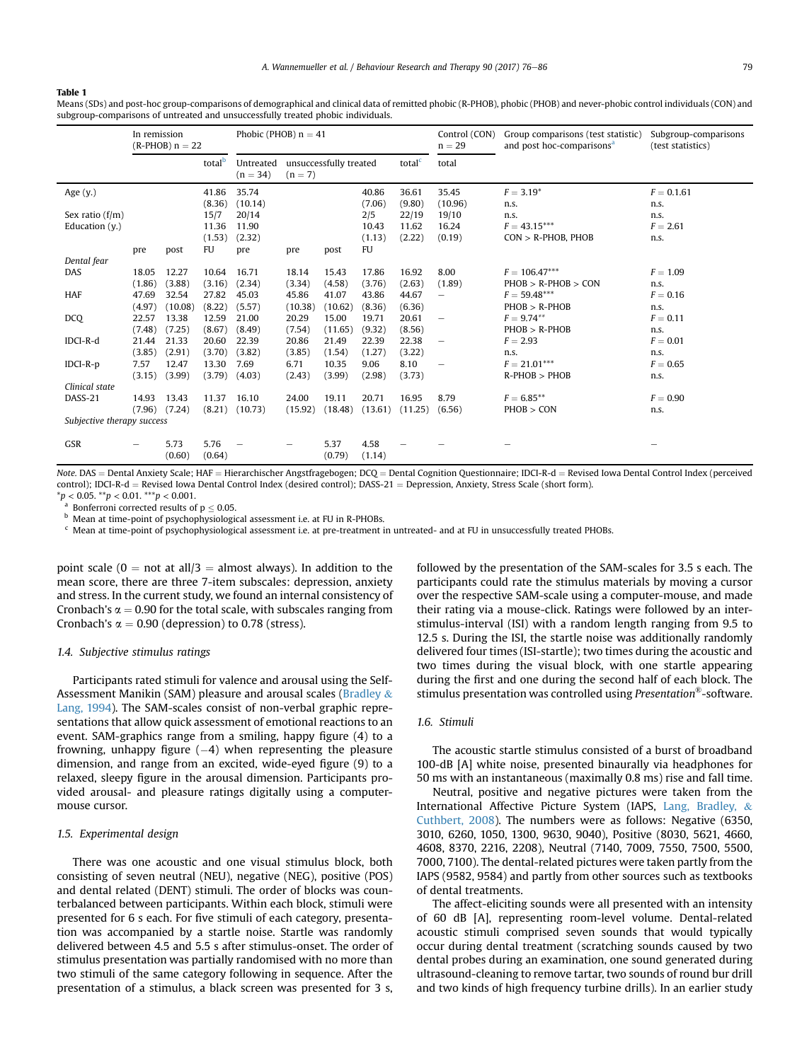#### <span id="page-3-0"></span>Table 1

Means (SDs) and post-hoc group-comparisons of demographical and clinical data of remitted phobic (R-PHOB), phobic (PHOB) and never-phobic control individuals (CON) and subgroup-comparisons of untreated and unsuccessfully treated phobic individuals.

|                            | In remission | $(R-PHOB)$ n = 22 |                | Phobic (PHOB) $n = 41$  |           |                        |                |                    | Control (CON)<br>$n = 29$ | Group comparisons (test statistic)<br>and post hoc-comparisons <sup>a</sup> | Subgroup-comparisons<br>(test statistics) |
|----------------------------|--------------|-------------------|----------------|-------------------------|-----------|------------------------|----------------|--------------------|---------------------------|-----------------------------------------------------------------------------|-------------------------------------------|
|                            |              |                   | total          | Untreated<br>$(n = 34)$ | $(n = 7)$ | unsuccessfully treated |                | total <sup>c</sup> | total                     |                                                                             |                                           |
| Age $(y.)$                 |              |                   | 41.86          | 35.74                   |           |                        | 40.86          | 36.61              | 35.45                     | $F = 3.19*$                                                                 | $F = 0.1.61$                              |
|                            |              |                   | (8.36)         | (10.14)                 |           |                        | (7.06)         | (9.80)             | (10.96)                   | n.s.                                                                        | n.s.                                      |
| Sex ratio $(f/m)$          |              |                   | 15/7           | 20/14                   |           |                        | 2/5            | 22/19              | 19/10                     | n.s.                                                                        | n.s.                                      |
| Education $(y.)$           |              |                   | 11.36          | 11.90                   |           |                        | 10.43          | 11.62              | 16.24                     | $F = 43.15***$                                                              | $F = 2.61$                                |
|                            |              |                   | (1.53)         | (2.32)                  |           |                        | (1.13)         | (2.22)             | (0.19)                    | $CON > R-PHOB$ , PHOB                                                       | n.s.                                      |
|                            | pre          | post              | FU             | pre                     | pre       | post                   | <b>FU</b>      |                    |                           |                                                                             |                                           |
| Dental fear                |              |                   |                |                         |           |                        |                |                    |                           |                                                                             |                                           |
| <b>DAS</b>                 | 18.05        | 12.27             | 10.64          | 16.71                   | 18.14     | 15.43                  | 17.86          | 16.92              | 8.00                      | $F = 106.47***$                                                             | $F = 1.09$                                |
|                            | (1.86)       | (3.88)            | (3.16)         | (2.34)                  | (3.34)    | (4.58)                 | (3.76)         | (2.63)             | (1.89)                    | $PHOB > R-PHOB > CON$                                                       | n.s.                                      |
| <b>HAF</b>                 | 47.69        | 32.54             | 27.82          | 45.03                   | 45.86     | 41.07                  | 43.86          | 44.67              | -                         | $F = 59.48***$                                                              | $F = 0.16$                                |
|                            | (4.97)       | (10.08)           | (8.22)         | (5.57)                  | (10.38)   | (10.62)                | (8.36)         | (6.36)             |                           | $PHOB > R-PHOB$                                                             | n.s.                                      |
| <b>DCQ</b>                 | 22.57        | 13.38             | 12.59          | 21.00                   | 20.29     | 15.00                  | 19.71          | 20.61              | $\qquad \qquad -$         | $F = 9.74***$                                                               | $F = 0.11$                                |
|                            | (7.48)       | (7.25)            | (8.67)         | (8.49)                  | (7.54)    | (11.65)                | (9.32)         | (8.56)             |                           | $PHOB > R-PHOB$                                                             | n.s.                                      |
| IDCI-R-d                   | 21.44        | 21.33             | 20.60          | 22.39                   | 20.86     | 21.49                  | 22.39          | 22.38              | $\qquad \qquad -$         | $F = 2.93$                                                                  | $F = 0.01$                                |
|                            | (3.85)       | (2.91)            | (3.70)         | (3.82)                  | (3.85)    | (1.54)                 | (1.27)         | (3.22)             |                           | n.s.                                                                        | n.s.                                      |
| $IDCI-R-p$                 | 7.57         | 12.47             | 13.30          | 7.69                    | 6.71      | 10.35                  | 9.06           | 8.10               | -                         | $F = 21.01***$                                                              | $F = 0.65$                                |
|                            | (3.15)       | (3.99)            | (3.79)         | (4.03)                  | (2.43)    | (3.99)                 | (2.98)         | (3.73)             |                           | $R-PHOB > PHOB$                                                             | n.s.                                      |
| Clinical state             |              |                   |                |                         |           |                        |                |                    |                           |                                                                             |                                           |
| DASS-21                    | 14.93        | 13.43             | 11.37          | 16.10                   | 24.00     | 19.11                  | 20.71          | 16.95              | 8.79                      | $F = 6.85***$                                                               | $F = 0.90$                                |
|                            |              | $(7.96)$ $(7.24)$ | (8.21)         | (10.73)                 | (15.92)   | (18.48)                | (13.61)        | (11.25)            | (6.56)                    | PHOB > CON                                                                  | n.s.                                      |
| Subjective therapy success |              |                   |                |                         |           |                        |                |                    |                           |                                                                             |                                           |
| GSR                        |              | 5.73<br>(0.60)    | 5.76<br>(0.64) |                         |           | 5.37<br>(0.79)         | 4.58<br>(1.14) |                    |                           |                                                                             |                                           |

Note. DAS = Dental Anxiety Scale; HAF = Hierarchischer Angstfragebogen; DCQ = Dental Cognition Questionnaire; IDCI-R-d = Revised Iowa Dental Control Index (perceived control); IDCI-R-d = Revised Iowa Dental Control Index (desired control); DASS-21 = Depression, Anxiety, Stress Scale (short form).  $*_{p}$  < 0.05.  $*_{p}$  < 0.01.  $**_{p}$  < 0.001.

<sup>a</sup> Bonferroni corrected results of  $p \le 0.05$ .<br><sup>b</sup> Mean at time-point of psychophysiological assessment i.e. at FU in R-PHOBs.

<sup>c</sup> Mean at time-point of psychophysiological assessment i.e. at pre-treatment in untreated- and at FU in unsuccessfully treated PHOBs.

point scale ( $0 = \text{not at all}/3 = \text{almost always}$ ). In addition to the mean score, there are three 7-item subscales: depression, anxiety and stress. In the current study, we found an internal consistency of Cronbach's  $\alpha$  = 0.90 for the total scale, with subscales ranging from Cronbach's  $\alpha = 0.90$  (depression) to 0.78 (stress).

# 1.4. Subjective stimulus ratings

Participants rated stimuli for valence and arousal using the Self-Assessment Manikin (SAM) pleasure and arousal scales [\(Bradley](#page-9-0) & [Lang, 1994](#page-9-0)). The SAM-scales consist of non-verbal graphic representations that allow quick assessment of emotional reactions to an event. SAM-graphics range from a smiling, happy figure (4) to a frowning, unhappy figure  $(-4)$  when representing the pleasure dimension, and range from an excited, wide-eyed figure (9) to a relaxed, sleepy figure in the arousal dimension. Participants provided arousal- and pleasure ratings digitally using a computermouse cursor.

# 1.5. Experimental design

There was one acoustic and one visual stimulus block, both consisting of seven neutral (NEU), negative (NEG), positive (POS) and dental related (DENT) stimuli. The order of blocks was counterbalanced between participants. Within each block, stimuli were presented for 6 s each. For five stimuli of each category, presentation was accompanied by a startle noise. Startle was randomly delivered between 4.5 and 5.5 s after stimulus-onset. The order of stimulus presentation was partially randomised with no more than two stimuli of the same category following in sequence. After the presentation of a stimulus, a black screen was presented for 3 s,

followed by the presentation of the SAM-scales for 3.5 s each. The participants could rate the stimulus materials by moving a cursor over the respective SAM-scale using a computer-mouse, and made their rating via a mouse-click. Ratings were followed by an interstimulus-interval (ISI) with a random length ranging from 9.5 to 12.5 s. During the ISI, the startle noise was additionally randomly delivered four times (ISI-startle); two times during the acoustic and two times during the visual block, with one startle appearing during the first and one during the second half of each block. The stimulus presentation was controlled using Presentation®-software.

# 1.6. Stimuli

The acoustic startle stimulus consisted of a burst of broadband 100-dB [A] white noise, presented binaurally via headphones for 50 ms with an instantaneous (maximally 0.8 ms) rise and fall time.

Neutral, positive and negative pictures were taken from the International Affective Picture System (IAPS, [Lang, Bradley,](#page-10-0) & [Cuthbert, 2008\)](#page-10-0). The numbers were as follows: Negative (6350, 3010, 6260, 1050, 1300, 9630, 9040), Positive (8030, 5621, 4660, 4608, 8370, 2216, 2208), Neutral (7140, 7009, 7550, 7500, 5500, 7000, 7100). The dental-related pictures were taken partly from the IAPS (9582, 9584) and partly from other sources such as textbooks of dental treatments.

The affect-eliciting sounds were all presented with an intensity of 60 dB [A], representing room-level volume. Dental-related acoustic stimuli comprised seven sounds that would typically occur during dental treatment (scratching sounds caused by two dental probes during an examination, one sound generated during ultrasound-cleaning to remove tartar, two sounds of round bur drill and two kinds of high frequency turbine drills). In an earlier study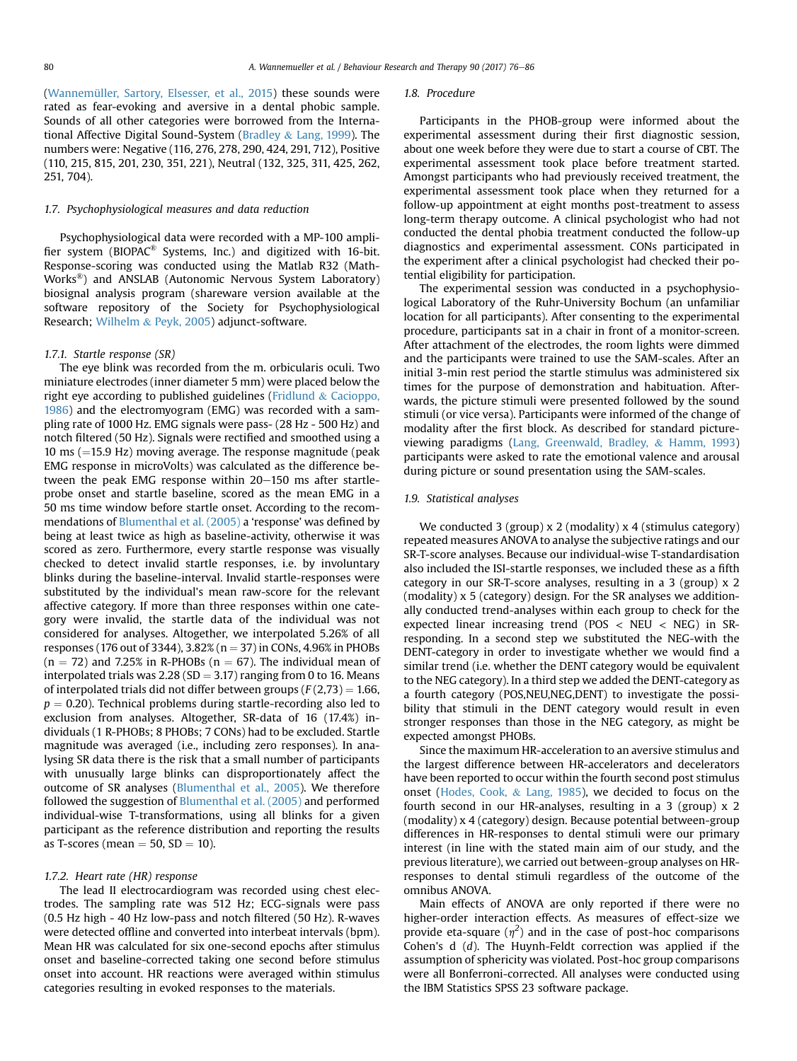([Wannemüller, Sartory, Elsesser, et al., 2015\)](#page-10-0) these sounds were rated as fear-evoking and aversive in a dental phobic sample. Sounds of all other categories were borrowed from the International Affective Digital Sound-System [\(Bradley](#page-9-0) & [Lang, 1999](#page-9-0)). The numbers were: Negative (116, 276, 278, 290, 424, 291, 712), Positive (110, 215, 815, 201, 230, 351, 221), Neutral (132, 325, 311, 425, 262, 251, 704).

# 1.7. Psychophysiological measures and data reduction

Psychophysiological data were recorded with a MP-100 amplifier system (BIOPAC® Systems, Inc.) and digitized with 16-bit. Response-scoring was conducted using the Matlab R32 (Math-Works®) and ANSLAB (Autonomic Nervous System Laboratory) biosignal analysis program (shareware version available at the software repository of the Society for Psychophysiological Research; [Wilhelm](#page-10-0) & [Peyk, 2005](#page-10-0)) adjunct-software.

## 1.7.1. Startle response (SR)

The eye blink was recorded from the m. orbicularis oculi. Two miniature electrodes (inner diameter 5 mm) were placed below the right eye according to published guidelines ([Fridlund](#page-10-0) & [Cacioppo,](#page-10-0) [1986](#page-10-0)) and the electromyogram (EMG) was recorded with a sampling rate of 1000 Hz. EMG signals were pass- (28 Hz - 500 Hz) and notch filtered (50 Hz). Signals were rectified and smoothed using a 10 ms  $(=15.9$  Hz) moving average. The response magnitude (peak EMG response in microVolts) was calculated as the difference between the peak EMG response within  $20-150$  ms after startleprobe onset and startle baseline, scored as the mean EMG in a 50 ms time window before startle onset. According to the recommendations of [Blumenthal et al. \(2005\)](#page-9-0) a 'response' was defined by being at least twice as high as baseline-activity, otherwise it was scored as zero. Furthermore, every startle response was visually checked to detect invalid startle responses, i.e. by involuntary blinks during the baseline-interval. Invalid startle-responses were substituted by the individual's mean raw-score for the relevant affective category. If more than three responses within one category were invalid, the startle data of the individual was not considered for analyses. Altogether, we interpolated 5.26% of all responses (176 out of 3344), 3.82% ( $n = 37$ ) in CONs, 4.96% in PHOBs  $(n = 72)$  and 7.25% in R-PHOBs  $(n = 67)$ . The individual mean of interpolated trials was  $2.28$  (SD = 3.17) ranging from 0 to 16. Means of interpolated trials did not differ between groups ( $F(2,73) = 1.66$ ,  $p = 0.20$ ). Technical problems during startle-recording also led to exclusion from analyses. Altogether, SR-data of 16 (17.4%) individuals (1 R-PHOBs; 8 PHOBs; 7 CONs) had to be excluded. Startle magnitude was averaged (i.e., including zero responses). In analysing SR data there is the risk that a small number of participants with unusually large blinks can disproportionately affect the outcome of SR analyses [\(Blumenthal et al., 2005](#page-9-0)). We therefore followed the suggestion of [Blumenthal et al. \(2005\)](#page-9-0) and performed individual-wise T-transformations, using all blinks for a given participant as the reference distribution and reporting the results as T-scores (mean  $= 50$ , SD  $= 10$ ).

#### 1.7.2. Heart rate (HR) response

The lead II electrocardiogram was recorded using chest electrodes. The sampling rate was 512 Hz; ECG-signals were pass (0.5 Hz high - 40 Hz low-pass and notch filtered (50 Hz). R-waves were detected offline and converted into interbeat intervals (bpm). Mean HR was calculated for six one-second epochs after stimulus onset and baseline-corrected taking one second before stimulus onset into account. HR reactions were averaged within stimulus categories resulting in evoked responses to the materials.

#### 1.8. Procedure

Participants in the PHOB-group were informed about the experimental assessment during their first diagnostic session, about one week before they were due to start a course of CBT. The experimental assessment took place before treatment started. Amongst participants who had previously received treatment, the experimental assessment took place when they returned for a follow-up appointment at eight months post-treatment to assess long-term therapy outcome. A clinical psychologist who had not conducted the dental phobia treatment conducted the follow-up diagnostics and experimental assessment. CONs participated in the experiment after a clinical psychologist had checked their potential eligibility for participation.

The experimental session was conducted in a psychophysiological Laboratory of the Ruhr-University Bochum (an unfamiliar location for all participants). After consenting to the experimental procedure, participants sat in a chair in front of a monitor-screen. After attachment of the electrodes, the room lights were dimmed and the participants were trained to use the SAM-scales. After an initial 3-min rest period the startle stimulus was administered six times for the purpose of demonstration and habituation. Afterwards, the picture stimuli were presented followed by the sound stimuli (or vice versa). Participants were informed of the change of modality after the first block. As described for standard pictureviewing paradigms [\(Lang, Greenwald, Bradley,](#page-10-0) & [Hamm, 1993\)](#page-10-0) participants were asked to rate the emotional valence and arousal during picture or sound presentation using the SAM-scales.

## 1.9. Statistical analyses

We conducted 3 (group) x 2 (modality) x 4 (stimulus category) repeated measures ANOVA to analyse the subjective ratings and our SR-T-score analyses. Because our individual-wise T-standardisation also included the ISI-startle responses, we included these as a fifth category in our SR-T-score analyses, resulting in a 3 (group) x 2 (modality) x 5 (category) design. For the SR analyses we additionally conducted trend-analyses within each group to check for the expected linear increasing trend (POS < NEU < NEG) in SRresponding. In a second step we substituted the NEG-with the DENT-category in order to investigate whether we would find a similar trend (i.e. whether the DENT category would be equivalent to the NEG category). In a third step we added the DENT-category as a fourth category (POS,NEU,NEG,DENT) to investigate the possibility that stimuli in the DENT category would result in even stronger responses than those in the NEG category, as might be expected amongst PHOBs.

Since the maximum HR-acceleration to an aversive stimulus and the largest difference between HR-accelerators and decelerators have been reported to occur within the fourth second post stimulus onset [\(Hodes, Cook,](#page-10-0) & [Lang, 1985\)](#page-10-0), we decided to focus on the fourth second in our HR-analyses, resulting in a 3 (group) x 2 (modality) x 4 (category) design. Because potential between-group differences in HR-responses to dental stimuli were our primary interest (in line with the stated main aim of our study, and the previous literature), we carried out between-group analyses on HRresponses to dental stimuli regardless of the outcome of the omnibus ANOVA.

Main effects of ANOVA are only reported if there were no higher-order interaction effects. As measures of effect-size we provide eta-square  $(\eta^2)$  and in the case of post-hoc comparisons Cohen's d (d). The Huynh-Feldt correction was applied if the assumption of sphericity was violated. Post-hoc group comparisons were all Bonferroni-corrected. All analyses were conducted using the IBM Statistics SPSS 23 software package.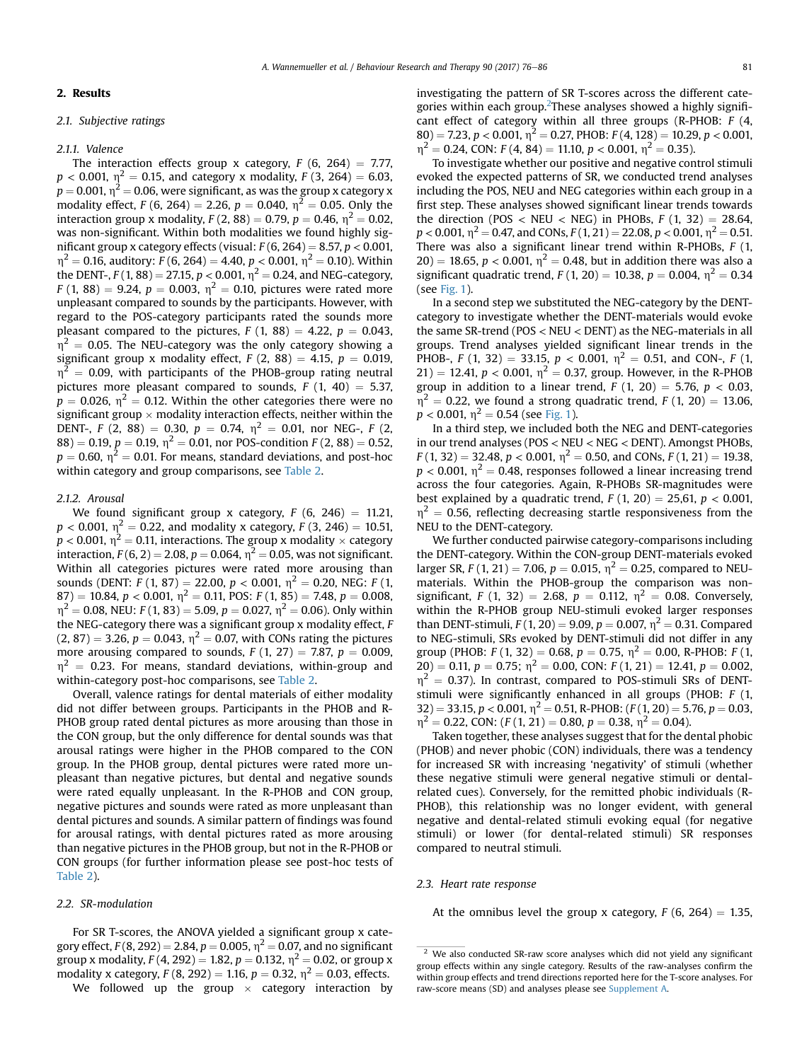# 2.1. Subjective ratings

# 2.1.1. Valence

The interaction effects group x category,  $F(6, 264) = 7.77$ ,  $p < 0.001$ ,  $\eta^2 = 0.15$ , and category x modality,  $F(3, 264) = 6.03$ ,  $p = 0.001$ ,  $\eta^2 = 0.06$ , were significant, as was the group x category x modality effect,  $F(6, 264) = 2.26$ ,  $p = 0.040$ ,  $\eta^2 = 0.05$ . Only the interaction group x modality,  $F(2, 88) = 0.79$ ,  $p = 0.46$ ,  $\eta^2 = 0.02$ , was non-significant. Within both modalities we found highly significant group x category effects (visual:  $F(6, 264) = 8.57$ ,  $p < 0.001$ ,  $\eta^2 = 0.16$ , auditory: F (6, 264) = 4.40, p < 0.001,  $\eta^2 = 0.10$ ). Within the DENT-,  $F(1, 88) = 27.15$ ,  $p < 0.001$ ,  $\eta^2 = 0.24$ , and NEG-category,  $F(1, 88) = 9.24$ ,  $p = 0.003$ ,  $\eta^2 = 0.10$ , pictures were rated more unpleasant compared to sounds by the participants. However, with regard to the POS-category participants rated the sounds more pleasant compared to the pictures,  $F(1, 88) = 4.22$ ,  $p = 0.043$ ,  $\eta^2$  = 0.05. The NEU-category was the only category showing a significant group x modality effect,  $F(2, 88) = 4.15$ ,  $p = 0.019$ ,  $\eta^2$  = 0.09, with participants of the PHOB-group rating neutral pictures more pleasant compared to sounds,  $F(1, 40) = 5.37$ ,  $p = 0.026$ ,  $\eta^2 = 0.12$ . Within the other categories there were no significant group  $\times$  modality interaction effects, neither within the DENT-,  $F(2, 88) = 0.30$ ,  $p = 0.74$ ,  $\eta^2 = 0.01$ , nor NEG-,  $F(2, 88) = 0.30$ ,  $p = 0.74$ ,  $\eta^2 = 0.01$ , nor NEG-,  $F(2, 88) = 0.30$ 88) = 0.19, p = 0.19,  $\eta^2$  = 0.01, nor POS-condition F (2, 88) = 0.52,  $p = 0.60$ ,  $\eta^2 = 0.01$ . For means, standard deviations, and post-hoc within category and group comparisons, see [Table 2.](#page-6-0)

# 2.1.2. Arousal

We found significant group x category,  $F(6, 246) = 11.21$ ,  $p < 0.001$ ,  $\eta^2 = 0.22$ , and modality x category, F (3, 246) = 10.51,  $p < 0.001$ ,  $\eta^2 = 0.11$ , interactions. The group x modality  $\times$  category interaction,  $F(6, 2) = 2.08$ ,  $p = 0.064$ ,  $\eta^2 = 0.05$ , was not significant. Within all categories pictures were rated more arousing than sounds (DENT: F (1, 87) = 22.00,  $p < 0.001$ ,  $\eta^2 = 0.20$ , NEG: F (1,  $87$ ) = 10.84, p < 0.001,  $\eta^2$  = 0.11, POS: F (1, 85) = 7.48, p = 0.008,  $\eta^2 = 0.08$ , NEU: F (1, 83) = 5.09, p = 0.027,  $\eta^2 = 0.06$ ). Only within the NEG-category there was a significant group x modality effect, F  $(2, 87) = 3.26$ ,  $p = 0.043$ ,  $\eta^2 = 0.07$ , with CONs rating the pictures more arousing compared to sounds,  $F(1, 27) = 7.87$ ,  $p = 0.009$ ,  $\eta^2$  = 0.23. For means, standard deviations, within-group and within-category post-hoc comparisons, see [Table 2](#page-6-0).

Overall, valence ratings for dental materials of either modality did not differ between groups. Participants in the PHOB and R-PHOB group rated dental pictures as more arousing than those in the CON group, but the only difference for dental sounds was that arousal ratings were higher in the PHOB compared to the CON group. In the PHOB group, dental pictures were rated more unpleasant than negative pictures, but dental and negative sounds were rated equally unpleasant. In the R-PHOB and CON group, negative pictures and sounds were rated as more unpleasant than dental pictures and sounds. A similar pattern of findings was found for arousal ratings, with dental pictures rated as more arousing than negative pictures in the PHOB group, but not in the R-PHOB or CON groups (for further information please see post-hoc tests of [Table 2\)](#page-6-0).

#### 2.2. SR-modulation

For SR T-scores, the ANOVA yielded a significant group x category effect,  $F(8, 292) = 2.84$ ,  $p = 0.005$ ,  $\eta^2 = 0.07$ , and no significant group x modality,  $F(4, 292) = 1.82$ ,  $p = 0.132$ ,  $p^2 = 0.02$ , or group x modality x category,  $F(8, 292) = 1.16$ ,  $p = 0.32$ ,  $\eta^2 = 0.03$ , effects.

We followed up the group  $\times$  category interaction by

investigating the pattern of SR T-scores across the different categories within each group. <sup>2</sup>These analyses showed a highly significant effect of category within all three groups (R-PHOB:  $F$  (4, 80) = 7.23, p < 0.001,  $\eta^2$  = 0.27, PHOB: F (4, 128) = 10.29, p < 0.001,  $\eta^2$  = 0.24, CON: F (4, 84) = 11.10, p < 0.001,  $\eta^2$  = 0.35).  $h^2 = 0.24$ , CON: F (4, 84) = 11.10, p < 0.001,  $\eta^2 = 0.35$ ).

To investigate whether our positive and negative control stimuli evoked the expected patterns of SR, we conducted trend analyses including the POS, NEU and NEG categories within each group in a first step. These analyses showed significant linear trends towards the direction (POS < NEU < NEG) in PHOBs,  $F(1, 32) = 28.64$ ,  $p < 0.001$ ,  $\eta^2 = 0.47$ , and CONs,  $F(1, 21) = 22.08$ ,  $p < 0.001$ ,  $\eta^2 = 0.51$ . There was also a significant linear trend within R-PHOBs, F (1, 20) = 18.65, p < 0.001,  $\eta^2$  = 0.48, but in addition there was also a significant quadratic trend,  $F(1, 20) = 10.38$ ,  $p = 0.004$ ,  $\eta^2 = 0.34$ (see [Fig. 1\)](#page-7-0).

In a second step we substituted the NEG-category by the DENTcategory to investigate whether the DENT-materials would evoke the same SR-trend (POS < NEU < DENT) as the NEG-materials in all groups. Trend analyses yielded significant linear trends in the PHOB-,  $F(1, 32) = 33.15$ ,  $p < 0.001$ ,  $\eta^2 = 0.51$ , and CON-,  $F(1, 1)$ 21) = 12.41,  $p < 0.001$ ,  $\eta^2 = 0.37$ , group. However, in the R-PHOB group in addition to a linear trend,  $F(1, 20) = 5.76$ ,  $p < 0.03$ ,  $n^2 = 0.22$ , we found a strong quadratic trend, F (1, 20) = 13.06,  $p < 0.001$ ,  $\eta^2 = 0.54$  (see [Fig. 1](#page-7-0)).

In a third step, we included both the NEG and DENT-categories in our trend analyses (POS < NEU < NEG < DENT). Amongst PHOBs,  $F(1, 32) = 32.48, p < 0.001, \eta^2 = 0.50, \text{ and CONs}, F(1, 21) = 19.38,$  $p < 0.001$ ,  $\eta^2 = 0.48$ , responses followed a linear increasing trend across the four categories. Again, R-PHOBs SR-magnitudes were best explained by a quadratic trend,  $F(1, 20) = 25,61, p < 0.001$ ,  $\eta^2$  = 0.56, reflecting decreasing startle responsiveness from the NEU to the DENT-category.

We further conducted pairwise category-comparisons including the DENT-category. Within the CON-group DENT-materials evoked larger SR,  $F(1, 21) = 7.06$ ,  $p = 0.015$ ,  $\eta^2 = 0.25$ , compared to NEUmaterials. Within the PHOB-group the comparison was nonsignificant, F (1, 32) = 2.68,  $p = 0.112$ ,  $\eta^2 = 0.08$ . Conversely, within the R-PHOB group NEU-stimuli evoked larger responses than DENT-stimuli,  $F(1, 20) = 9.09$ ,  $p = 0.007$ ,  $\eta^2 = 0.31$ . Compared to NEG-stimuli, SRs evoked by DENT-stimuli did not differ in any group (PHOB: F (1, 32) = 0.68,  $p = 0.75$ ,  $\eta^2 = 0.00$ , R-PHOB: F (1, 20) = 0.11,  $p = 0.75$ ;  $\eta^2 = 0.00$ , CON:  $F(1, 21) = 12.41$ ,  $p = 0.002$ ,  $\eta^2$  = 0.37). In contrast, compared to POS-stimuli SRs of DENTstimuli were significantly enhanced in all groups (PHOB: F (1, 32) = 33.15, p < 0.001,  $\eta^2$  = 0.51, R-PHOB: (F(1, 20) = 5.76, p = 0.03,  $\eta^2 = 0.22$ , CON: (F (1, 21) = 0.80, p = 0.38,  $\eta^2 = 0.04$ ).

Taken together, these analyses suggest that for the dental phobic (PHOB) and never phobic (CON) individuals, there was a tendency for increased SR with increasing 'negativity' of stimuli (whether these negative stimuli were general negative stimuli or dentalrelated cues). Conversely, for the remitted phobic individuals (R-PHOB), this relationship was no longer evident, with general negative and dental-related stimuli evoking equal (for negative stimuli) or lower (for dental-related stimuli) SR responses compared to neutral stimuli.

# 2.3. Heart rate response

At the omnibus level the group x category,  $F(6, 264) = 1.35$ ,

 $\frac{2}{3}$  We also conducted SR-raw score analyses which did not yield any significant group effects within any single category. Results of the raw-analyses confirm the within group effects and trend directions reported here for the T-score analyses. For raw-score means (SD) and analyses please see Supplement A.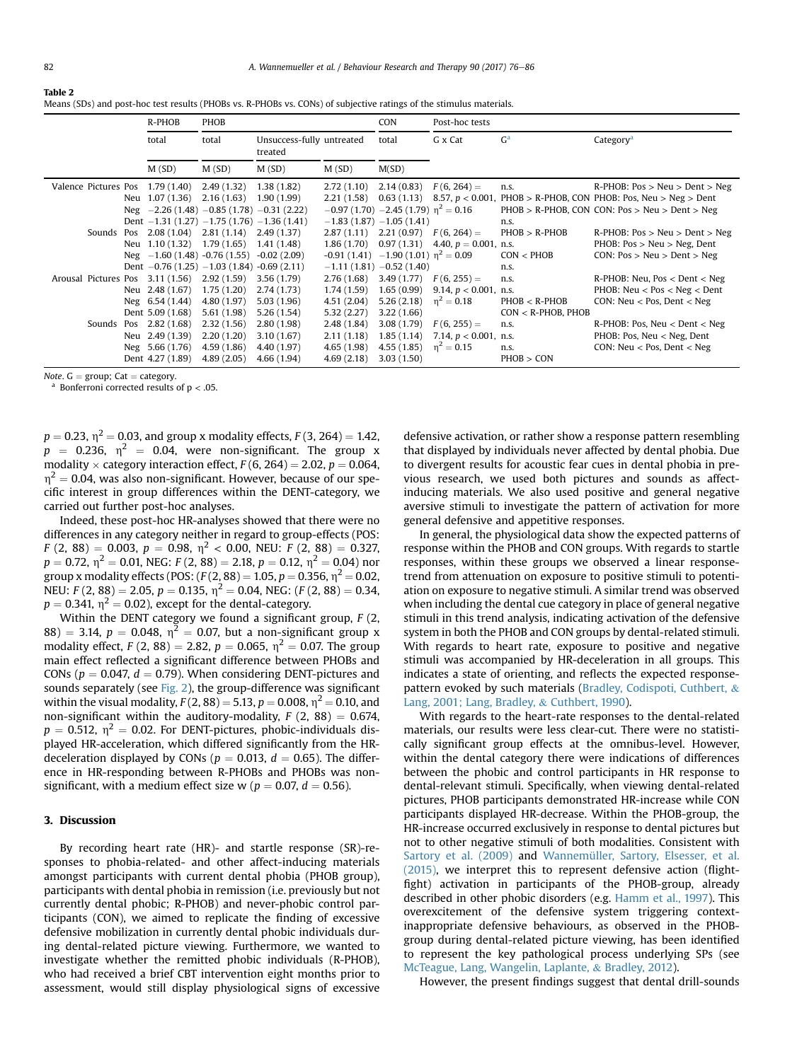<span id="page-6-0"></span>

| Table 2                                                                                                             |
|---------------------------------------------------------------------------------------------------------------------|
| Means (SDs) and post-hoc test results (PHOBs vs. R-PHOBs vs. CONs) of subjective ratings of the stimulus materials. |

|                                          | R-PHOB                                                                                                                                                                                                                                                                                  | PHOB                                                                                                                                     |                                                                                                                                                                                                                                                          |                                                                                                                                                         | <b>CON</b>                                                                                                                                                                                                                                                         | Post-hoc tests                                                                                                                                                                      |                                                                                                                   |                                                                                                                                                                                                                                                                                                                                                                                                                                            |
|------------------------------------------|-----------------------------------------------------------------------------------------------------------------------------------------------------------------------------------------------------------------------------------------------------------------------------------------|------------------------------------------------------------------------------------------------------------------------------------------|----------------------------------------------------------------------------------------------------------------------------------------------------------------------------------------------------------------------------------------------------------|---------------------------------------------------------------------------------------------------------------------------------------------------------|--------------------------------------------------------------------------------------------------------------------------------------------------------------------------------------------------------------------------------------------------------------------|-------------------------------------------------------------------------------------------------------------------------------------------------------------------------------------|-------------------------------------------------------------------------------------------------------------------|--------------------------------------------------------------------------------------------------------------------------------------------------------------------------------------------------------------------------------------------------------------------------------------------------------------------------------------------------------------------------------------------------------------------------------------------|
|                                          | total                                                                                                                                                                                                                                                                                   | total                                                                                                                                    | Unsuccess-fully untreated<br>treated                                                                                                                                                                                                                     |                                                                                                                                                         | total                                                                                                                                                                                                                                                              | G x Cat                                                                                                                                                                             | G <sup>a</sup>                                                                                                    | Category <sup>a</sup>                                                                                                                                                                                                                                                                                                                                                                                                                      |
|                                          | M(SD)                                                                                                                                                                                                                                                                                   | M(SD)                                                                                                                                    | M(SD)                                                                                                                                                                                                                                                    | M(SD)                                                                                                                                                   | M(SD)                                                                                                                                                                                                                                                              |                                                                                                                                                                                     |                                                                                                                   |                                                                                                                                                                                                                                                                                                                                                                                                                                            |
| Valence Pictures Pos<br>Sounds<br>Sounds | 1.79(1.40)<br>Neu 1.07 (1.36)<br>Pos $2.08(1.04)$<br>Neu 1.10 (1.32)<br>Neg $-1.60(1.48) -0.76(1.55)$<br>Dent $-0.76(1.25) -1.03(1.84) -0.69(2.11)$<br>Arousal Pictures Pos 3.11 (1.56)<br>Neu 2.48 (1.67)<br>Neg 6.54 (1.44)<br>Dent 5.09 (1.68)<br>Pos 2.82 (1.68)<br>Neu 2.49 (1.39) | 2.49(1.32)<br>2.16(1.63)<br>2.81(1.14)<br>1.79(1.65)<br>2.92(1.59)<br>1.75(1.20)<br>4.80(1.97)<br>5.61(1.98)<br>2.32(1.56)<br>2.20(1.20) | 1.38(1.82)<br>1.90(1.99)<br>Neg $-2.26(1.48) -0.85(1.78) -0.31(2.22)$<br>Dent $-1.31(1.27)$ $-1.75(1.76)$ $-1.36(1.41)$<br>2.49(1.37)<br>1.41(1.48)<br>$-0.02(2.09)$<br>3.56(1.79)<br>2.74(1.73)<br>5.03(1.96)<br>5.26(1.54)<br>2.80(1.98)<br>3.10(1.67) | 2.72(1.10)<br>$2.21(1.58)$ 0.63 (1.13)<br>2.87(1.11)<br>1.86(1.70)<br>2.76(1.68)<br>1.74(1.59)<br>4.51(2.04)<br>5.32(2.27)<br>2.48 (1.84)<br>2.11(1.18) | 2.14(0.83)<br>$-0.97(1.70) -2.45(1.79)$ $\eta^2 = 0.16$<br>$-1.83(1.87) -1.05(1.41)$<br>2.21(0.97)<br>$-0.91(1.41)$ $-1.90(1.01)$ $\eta^2 = 0.09$<br>$-1.11(1.81) -0.52(1.40)$<br>3.49(1.77)<br>1.65(0.99)<br>5.26(2.18)<br>3.22(1.66)<br>3.08(1.79)<br>1.85(1.14) | $F(6, 264) =$<br>$F(6, 264) =$<br>0.97 (1.31) 4.40, $p = 0.001$ , n.s.<br>$F(6, 255) =$<br>9.14, $p < 0.001$ , n.s.<br>$\eta^2 = 0.18$<br>$F(6, 255) =$<br>7.14, $p < 0.001$ , n.s. | n.s.<br>n.s.<br>$PHOB > R-PHOB$<br>CON < PHOB<br>n.s.<br>n.s.<br>$PHOB < R-PHOB$<br>$CON < R-PHOB$ , PHOB<br>n.s. | $R-PHOB$ : Pos > Neu > Dent > Neg<br>8.57, $p < 0.001$ , PHOB > R-PHOB, CON PHOB: Pos, Neu > Neg > Dent<br>$PHOB > R-PHOB$ , CON CON: Pos > Neu > Dent > Neg<br>$R-PHOB$ : Pos > Neu > Dent > Neg<br>PHOB: $Pos > Neu > Neg$ , Dent<br>CON: Pos > Neu > Dent > Neg<br>$R$ -PHOB: Neu, Pos < Dent < Neg<br>PHOB: Neu < Pos < Neg < Dent<br>CON: Neu $<$ Pos, Dent $<$ Neg<br>$R$ -PHOB: Pos, Neu < Dent < Neg<br>PHOB: Pos, Neu < Neg, Dent |
|                                          | Neg 5.66 (1.76)<br>Dent 4.27 (1.89)                                                                                                                                                                                                                                                     | 4.59(1.86)<br>4.89(2.05)                                                                                                                 | 4.40 (1.97)<br>4.66 (1.94)                                                                                                                                                                                                                               | 4.65(1.98)<br>4.69(2.18)                                                                                                                                | 4.55(1.85)<br>3.03(1.50)                                                                                                                                                                                                                                           | $n^2 = 0.15$                                                                                                                                                                        | n.s.<br>PHOB > CON                                                                                                | CON: Neu $<$ Pos, Dent $<$ Neg                                                                                                                                                                                                                                                                                                                                                                                                             |

Note. G = group; Cat = category.<br><sup>a</sup> Bonferroni corrected results of p < .05.

 $p = 0.23$ ,  $\eta^2 = 0.03$ , and group x modality effects,  $F(3, 264) = 1.42$ ,  $p = 0.236$ ,  $\eta^2 = 0.04$ , were non-significant. The group x modality  $\times$  category interaction effect,  $F$  (6, 264) = 2.02,  $p$  = 0.064,  $\eta^2 = 0.04$ , was also non-significant. However, because of our specific interest in group differences within the DENT-category, we carried out further post-hoc analyses.

Indeed, these post-hoc HR-analyses showed that there were no differences in any category neither in regard to group-effects (POS:  $F$  (2, 88) = 0.003,  $p = 0.98$ ,  $\eta^2$  < 0.00, NEU:  $F$  (2, 88) = 0.327,  $p = 0.72$ ,  $\eta^2 = 0.01$ , NEG: F (2, 88) = 2.18,  $p = 0.12$ ,  $\eta^2 = 0.04$ ) nor group x modality effects (POS:  $(F(2, 88) = 1.05, p = 0.356, \eta^2 = 0.02,$ NEU:  $F(2, 88) = 2.05$ ,  $p = 0.135$ ,  $n^2 = 0.04$ , NEG: ( $F(2, 88) = 0.34$ .)  $p = 0.341$ ,  $\eta^2 = 0.02$ ), except for the dental-category.

Within the DENT category we found a significant group,  $F(2, 1)$ 88) = 3.14,  $p = 0.048$ ,  $\eta^2 = 0.07$ , but a non-significant group x modality effect,  $F(2, 88) = 2.82$ ,  $p = 0.065$ ,  $\eta^2 = 0.07$ . The group main effect reflected a significant difference between PHOBs and CONs ( $p = 0.047$ ,  $d = 0.79$ ). When considering DENT-pictures and sounds separately (see [Fig. 2](#page-8-0)), the group-difference was significant within the visual modality,  $F(2, 88) = 5.13$ ,  $p = 0.008$ ,  $\eta^2 = 0.10$ , and non-significant within the auditory-modality,  $F(2, 88) = 0.674$ ,  $p = 0.512$ ,  $\eta^2 = 0.02$ . For DENT-pictures, phobic-individuals displayed HR-acceleration, which differed significantly from the HRdeceleration displayed by CONs ( $p = 0.013$ ,  $d = 0.65$ ). The difference in HR-responding between R-PHOBs and PHOBs was nonsignificant, with a medium effect size w ( $p = 0.07$ ,  $d = 0.56$ ).

# 3. Discussion

By recording heart rate (HR)- and startle response (SR)-responses to phobia-related- and other affect-inducing materials amongst participants with current dental phobia (PHOB group), participants with dental phobia in remission (i.e. previously but not currently dental phobic; R-PHOB) and never-phobic control participants (CON), we aimed to replicate the finding of excessive defensive mobilization in currently dental phobic individuals during dental-related picture viewing. Furthermore, we wanted to investigate whether the remitted phobic individuals (R-PHOB), who had received a brief CBT intervention eight months prior to assessment, would still display physiological signs of excessive

defensive activation, or rather show a response pattern resembling that displayed by individuals never affected by dental phobia. Due to divergent results for acoustic fear cues in dental phobia in previous research, we used both pictures and sounds as affectinducing materials. We also used positive and general negative aversive stimuli to investigate the pattern of activation for more general defensive and appetitive responses.

In general, the physiological data show the expected patterns of response within the PHOB and CON groups. With regards to startle responses, within these groups we observed a linear responsetrend from attenuation on exposure to positive stimuli to potentiation on exposure to negative stimuli. A similar trend was observed when including the dental cue category in place of general negative stimuli in this trend analysis, indicating activation of the defensive system in both the PHOB and CON groups by dental-related stimuli. With regards to heart rate, exposure to positive and negative stimuli was accompanied by HR-deceleration in all groups. This indicates a state of orienting, and reflects the expected responsepattern evoked by such materials [\(Bradley, Codispoti, Cuthbert,](#page-9-0) & [Lang, 2001; Lang, Bradley,](#page-9-0) & [Cuthbert, 1990](#page-9-0)).

With regards to the heart-rate responses to the dental-related materials, our results were less clear-cut. There were no statistically significant group effects at the omnibus-level. However, within the dental category there were indications of differences between the phobic and control participants in HR response to dental-relevant stimuli. Specifically, when viewing dental-related pictures, PHOB participants demonstrated HR-increase while CON participants displayed HR-decrease. Within the PHOB-group, the HR-increase occurred exclusively in response to dental pictures but not to other negative stimuli of both modalities. Consistent with [Sartory et al. \(2009\)](#page-10-0) and [Wannemüller, Sartory, Elsesser, et al.](#page-10-0) [\(2015\)](#page-10-0), we interpret this to represent defensive action (flightfight) activation in participants of the PHOB-group, already described in other phobic disorders (e.g. [Hamm et al., 1997](#page-10-0)). This overexcitement of the defensive system triggering contextinappropriate defensive behaviours, as observed in the PHOBgroup during dental-related picture viewing, has been identified to represent the key pathological process underlying SPs (see [McTeague, Lang, Wangelin, Laplante,](#page-10-0) & [Bradley, 2012\)](#page-10-0).

However, the present findings suggest that dental drill-sounds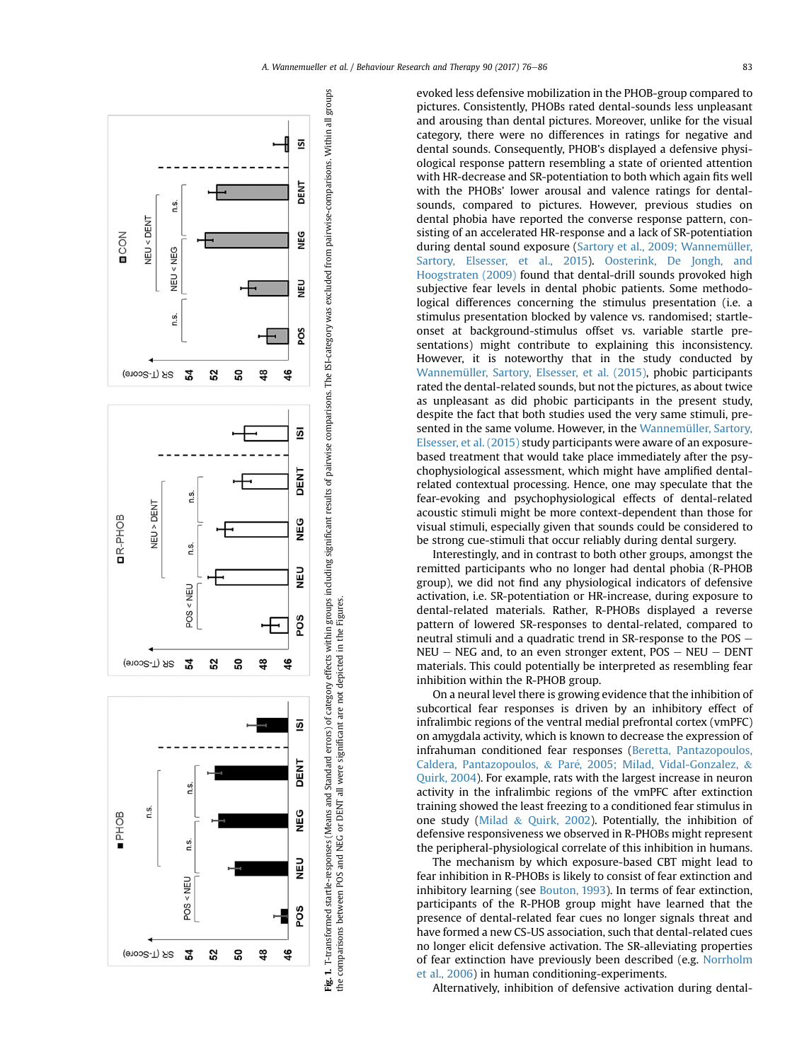<span id="page-7-0"></span>

evoked less defensive mobilization in the PHOB-group compared to pictures. Consistently, PHOBs rated dental-sounds less unpleasant and arousing than dental pictures. Moreover, unlike for the visual category, there were no differences in ratings for negative and dental sounds. Consequently, PHOB's displayed a defensive physiological response pattern resembling a state of oriented attention with HR-decrease and SR-potentiation to both which again fits well with the PHOBs' lower arousal and valence ratings for dentalsounds, compared to pictures. However, previous studies on dental phobia have reported the converse response pattern, consisting of an accelerated HR-response and a lack of SR-potentiation during dental sound exposure ([Sartory et al., 2009; Wannemüller,](#page-10-0) [Sartory, Elsesser, et al., 2015](#page-10-0)). [Oosterink, De Jongh, and](#page-10-0) [Hoogstraten \(2009\)](#page-10-0) found that dental-drill sounds provoked high subjective fear levels in dental phobic patients. Some methodological differences concerning the stimulus presentation (i.e. a stimulus presentation blocked by valence vs. randomised; startleonset at background-stimulus offset vs. variable startle presentations) might contribute to explaining this inconsistency. However, it is noteworthy that in the study conducted by [Wannemüller, Sartory, Elsesser, et al. \(2015\),](#page-10-0) phobic participants rated the dental-related sounds, but not the pictures, as about twice as unpleasant as did phobic participants in the present study, despite the fact that both studies used the very same stimuli, presented in the same volume. However, in the [Wannemüller, Sartory,](#page-10-0) [Elsesser, et al. \(2015\)](#page-10-0) study participants were aware of an exposurebased treatment that would take place immediately after the psychophysiological assessment, which might have amplified dentalrelated contextual processing. Hence, one may speculate that the fear-evoking and psychophysiological effects of dental-related acoustic stimuli might be more context-dependent than those for visual stimuli, especially given that sounds could be considered to be strong cue-stimuli that occur reliably during dental surgery.

Interestingly, and in contrast to both other groups, amongst the remitted participants who no longer had dental phobia (R-PHOB group), we did not find any physiological indicators of defensive activation, i.e. SR-potentiation or HR-increase, during exposure to dental-related materials. Rather, R-PHOBs displayed a reverse pattern of lowered SR-responses to dental-related, compared to neutral stimuli and a quadratic trend in SR-response to the POS  $NEU - NEG$  and, to an even stronger extent,  $POS - NEU - DENT$ materials. This could potentially be interpreted as resembling fear inhibition within the R-PHOB group.

On a neural level there is growing evidence that the inhibition of subcortical fear responses is driven by an inhibitory effect of infralimbic regions of the ventral medial prefrontal cortex (vmPFC) on amygdala activity, which is known to decrease the expression of infrahuman conditioned fear responses ([Beretta, Pantazopoulos,](#page-9-0) [Caldera, Pantazopoulos,](#page-9-0) & [Par](#page-9-0)é[, 2005; Milad, Vidal-Gonzalez,](#page-9-0) & [Quirk, 2004](#page-9-0)). For example, rats with the largest increase in neuron activity in the infralimbic regions of the vmPFC after extinction training showed the least freezing to a conditioned fear stimulus in one study [\(Milad](#page-10-0) & [Quirk, 2002\)](#page-10-0). Potentially, the inhibition of defensive responsiveness we observed in R-PHOBs might represent the peripheral-physiological correlate of this inhibition in humans.

The mechanism by which exposure-based CBT might lead to fear inhibition in R-PHOBs is likely to consist of fear extinction and inhibitory learning (see [Bouton, 1993\)](#page-9-0). In terms of fear extinction, participants of the R-PHOB group might have learned that the presence of dental-related fear cues no longer signals threat and have formed a new CS-US association, such that dental-related cues no longer elicit defensive activation. The SR-alleviating properties of fear extinction have previously been described (e.g. [Norrholm](#page-10-0) [et al., 2006\)](#page-10-0) in human conditioning-experiments.

Alternatively, inhibition of defensive activation during dental-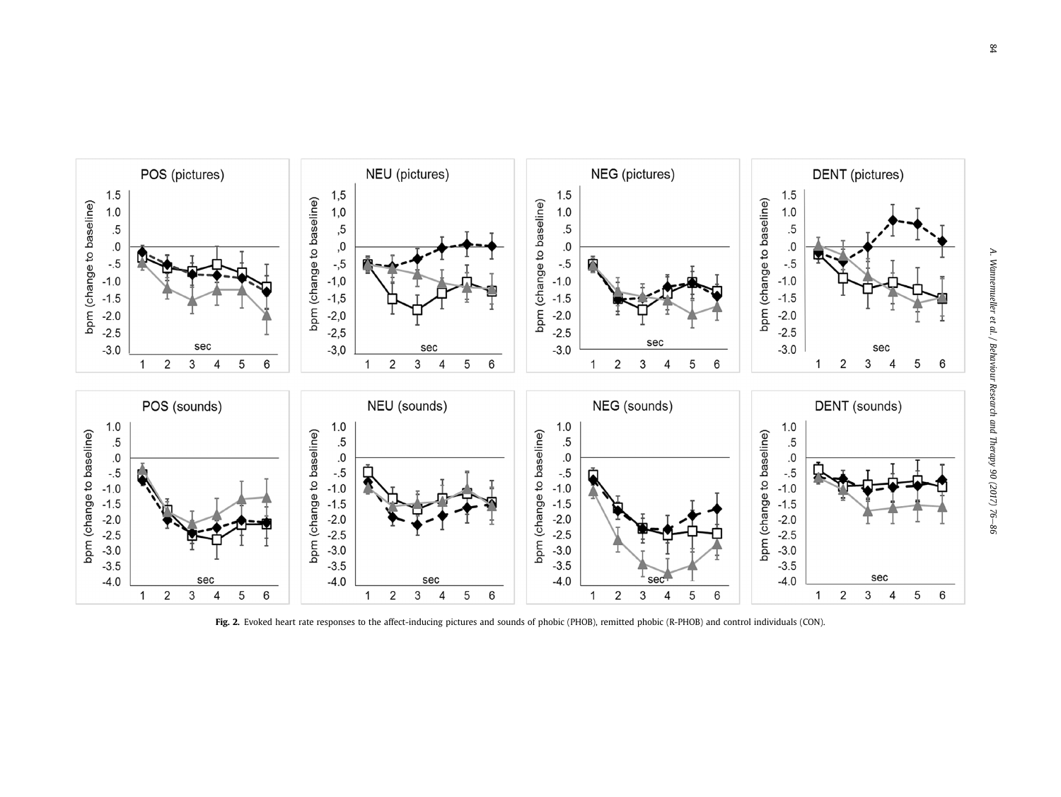

<span id="page-8-0"></span>

Fig. 2. Evoked heart rate responses to the affect-inducing pictures and sounds of phobic (PHOB), remitted phobic (R-PHOB) and control individuals (CON).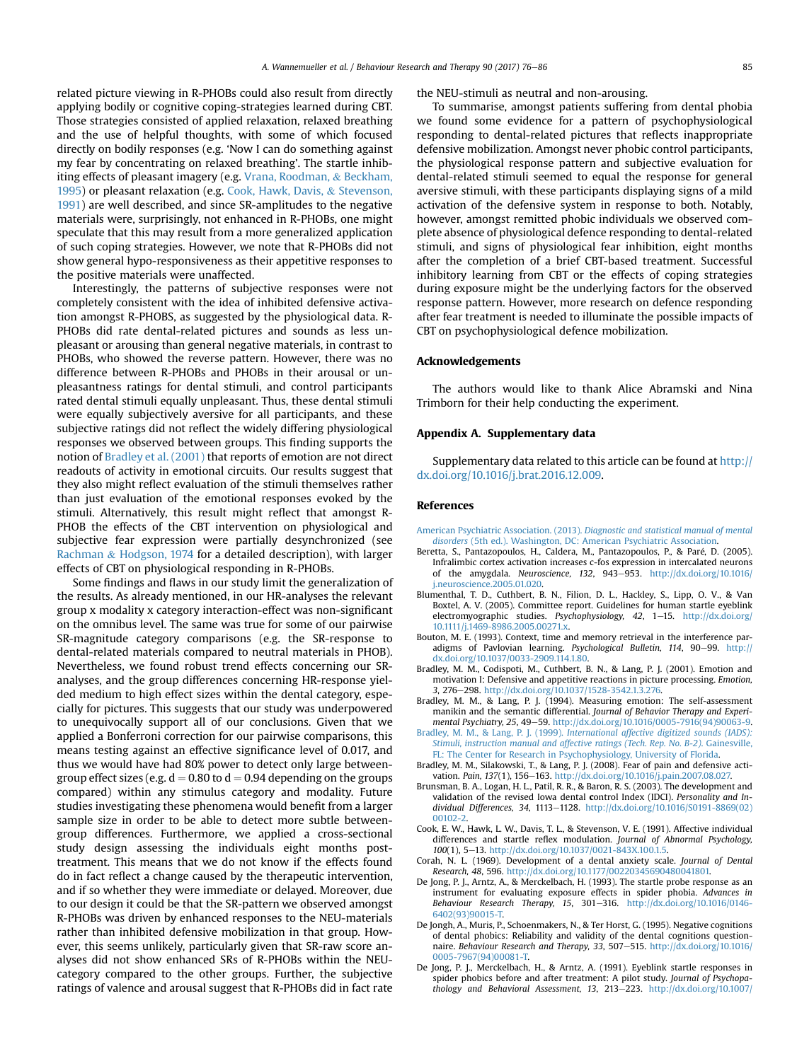<span id="page-9-0"></span>related picture viewing in R-PHOBs could also result from directly applying bodily or cognitive coping-strategies learned during CBT. Those strategies consisted of applied relaxation, relaxed breathing and the use of helpful thoughts, with some of which focused directly on bodily responses (e.g. 'Now I can do something against my fear by concentrating on relaxed breathing'. The startle inhibiting effects of pleasant imagery (e.g. [Vrana, Roodman,](#page-10-0) & [Beckham,](#page-10-0) [1995\)](#page-10-0) or pleasant relaxation (e.g. Cook, Hawk, Davis, & Stevenson, 1991) are well described, and since SR-amplitudes to the negative materials were, surprisingly, not enhanced in R-PHOBs, one might speculate that this may result from a more generalized application of such coping strategies. However, we note that R-PHOBs did not show general hypo-responsiveness as their appetitive responses to the positive materials were unaffected.

Interestingly, the patterns of subjective responses were not completely consistent with the idea of inhibited defensive activation amongst R-PHOBS, as suggested by the physiological data. R-PHOBs did rate dental-related pictures and sounds as less unpleasant or arousing than general negative materials, in contrast to PHOBs, who showed the reverse pattern. However, there was no difference between R-PHOBs and PHOBs in their arousal or unpleasantness ratings for dental stimuli, and control participants rated dental stimuli equally unpleasant. Thus, these dental stimuli were equally subjectively aversive for all participants, and these subjective ratings did not reflect the widely differing physiological responses we observed between groups. This finding supports the notion of Bradley et al. (2001) that reports of emotion are not direct readouts of activity in emotional circuits. Our results suggest that they also might reflect evaluation of the stimuli themselves rather than just evaluation of the emotional responses evoked by the stimuli. Alternatively, this result might reflect that amongst R-PHOB the effects of the CBT intervention on physiological and subjective fear expression were partially desynchronized (see [Rachman](#page-10-0) & [Hodgson, 1974](#page-10-0) for a detailed description), with larger effects of CBT on physiological responding in R-PHOBs.

Some findings and flaws in our study limit the generalization of the results. As already mentioned, in our HR-analyses the relevant group x modality x category interaction-effect was non-significant on the omnibus level. The same was true for some of our pairwise SR-magnitude category comparisons (e.g. the SR-response to dental-related materials compared to neutral materials in PHOB). Nevertheless, we found robust trend effects concerning our SRanalyses, and the group differences concerning HR-response yielded medium to high effect sizes within the dental category, especially for pictures. This suggests that our study was underpowered to unequivocally support all of our conclusions. Given that we applied a Bonferroni correction for our pairwise comparisons, this means testing against an effective significance level of 0.017, and thus we would have had 80% power to detect only large betweengroup effect sizes (e.g.  $d = 0.80$  to  $d = 0.94$  depending on the groups compared) within any stimulus category and modality. Future studies investigating these phenomena would benefit from a larger sample size in order to be able to detect more subtle betweengroup differences. Furthermore, we applied a cross-sectional study design assessing the individuals eight months posttreatment. This means that we do not know if the effects found do in fact reflect a change caused by the therapeutic intervention, and if so whether they were immediate or delayed. Moreover, due to our design it could be that the SR-pattern we observed amongst R-PHOBs was driven by enhanced responses to the NEU-materials rather than inhibited defensive mobilization in that group. However, this seems unlikely, particularly given that SR-raw score analyses did not show enhanced SRs of R-PHOBs within the NEUcategory compared to the other groups. Further, the subjective ratings of valence and arousal suggest that R-PHOBs did in fact rate

the NEU-stimuli as neutral and non-arousing.

To summarise, amongst patients suffering from dental phobia we found some evidence for a pattern of psychophysiological responding to dental-related pictures that reflects inappropriate defensive mobilization. Amongst never phobic control participants, the physiological response pattern and subjective evaluation for dental-related stimuli seemed to equal the response for general aversive stimuli, with these participants displaying signs of a mild activation of the defensive system in response to both. Notably, however, amongst remitted phobic individuals we observed complete absence of physiological defence responding to dental-related stimuli, and signs of physiological fear inhibition, eight months after the completion of a brief CBT-based treatment. Successful inhibitory learning from CBT or the effects of coping strategies during exposure might be the underlying factors for the observed response pattern. However, more research on defence responding after fear treatment is needed to illuminate the possible impacts of CBT on psychophysiological defence mobilization.

# Acknowledgements

The authors would like to thank Alice Abramski and Nina Trimborn for their help conducting the experiment.

# Appendix A. Supplementary data

Supplementary data related to this article can be found at [http://](http://dx.doi.org/10.1016/j.brat.2016.12.009) [dx.doi.org/10.1016/j.brat.2016.12.009](http://dx.doi.org/10.1016/j.brat.2016.12.009).

## References

- American Psychiatric Association. (2013). [Diagnostic and statistical manual of mental](http://refhub.elsevier.com/S0005-7967(16)30220-0/sref1) disorders [\(5th ed.\). Washington, DC: American Psychiatric Association.](http://refhub.elsevier.com/S0005-7967(16)30220-0/sref1)
- Beretta, S., Pantazopoulos, H., Caldera, M., Pantazopoulos, P., & Pare, D. (2005). Infralimbic cortex activation increases c-fos expression in intercalated neurons of the amygdala. Neuroscience, 132, 943-953. [http://dx.doi.org/10.1016/](http://dx.doi.org/10.1016/j.neuroscience.2005.01.020) [j.neuroscience.2005.01.020.](http://dx.doi.org/10.1016/j.neuroscience.2005.01.020)
- Blumenthal, T. D., Cuthbert, B. N., Filion, D. L., Hackley, S., Lipp, O. V., & Van Boxtel, A. V. (2005). Committee report. Guidelines for human startle eyeblink electromyographic studies. Psychophysiology, 42, 1-15. [http://dx.doi.org/](http://dx.doi.org/10.1111/j.1469-8986.2005.00271.x) [10.1111/j.1469-8986.2005.00271.x.](http://dx.doi.org/10.1111/j.1469-8986.2005.00271.x)
- Bouton, M. E. (1993). Context, time and memory retrieval in the interference paradigms of Pavlovian learning. Psychological Bulletin, 114, 90-99. [http://](http://dx.doi.org/10.1037/0033-2909.114.1.80) [dx.doi.org/10.1037/0033-2909.114.1.80.](http://dx.doi.org/10.1037/0033-2909.114.1.80)
- Bradley, M. M., Codispoti, M., Cuthbert, B. N., & Lang, P. J. (2001). Emotion and motivation I: Defensive and appetitive reactions in picture processing. Emotion, 3, 276-298. [http://dx.doi.org/10.1037/1528-3542.1.3.276.](http://dx.doi.org/10.1037/1528-3542.1.3.276)
- Bradley, M. M., & Lang, P. J. (1994). Measuring emotion: The self-assessment manikin and the semantic differential. Journal of Behavior Therapy and Experimental Psychiatry, 25, 49-59. [http://dx.doi.org/10.1016/0005-7916\(94\)90063-9](http://dx.doi.org/10.1016/0005-7916(94)90063-9).
- Bradley, M. M., & Lang, P. J. (1999). [International affective digitized sounds \(IADS\):](http://refhub.elsevier.com/S0005-7967(16)30220-0/sref9) [Stimuli, instruction manual and affective ratings \(Tech. Rep. No. B-2\)](http://refhub.elsevier.com/S0005-7967(16)30220-0/sref9). Gainesville, [FL: The Center for Research in Psychophysiology, University of Florida.](http://refhub.elsevier.com/S0005-7967(16)30220-0/sref9)
- Bradley, M. M., Silakowski, T., & Lang, P. J. (2008). Fear of pain and defensive activation. Pain, 137(1), 156-163. [http://dx.doi.org/10.1016/j.pain.2007.08.027.](http://dx.doi.org/10.1016/j.pain.2007.08.027)
- Brunsman, B. A., Logan, H. L., Patil, R. R., & Baron, R. S. (2003). The development and validation of the revised Iowa dental control Index (IDCI). Personality and Individual Differences, 34, 1113-1128. [http://dx.doi.org/10.1016/S0191-8869\(02\)](http://dx.doi.org/10.1016/S0191-8869(02)00102-2) [00102-2.](http://dx.doi.org/10.1016/S0191-8869(02)00102-2)
- Cook, E. W., Hawk, L. W., Davis, T. L., & Stevenson, V. E. (1991). Affective individual differences and startle reflex modulation. Journal of Abnormal Psychology, 100(1), 5-13. <http://dx.doi.org/10.1037/0021-843X.100.1.5>.
- Corah, N. L. (1969). Development of a dental anxiety scale. Journal of Dental Research, 48, 596. [http://dx.doi.org/10.1177/00220345690480041801.](http://dx.doi.org/10.1177/00220345690480041801)
- De Jong, P. J., Arntz, A., & Merckelbach, H. (1993). The startle probe response as an instrument for evaluating exposure effects in spider phobia. Advances in Behaviour Research Therapy, 15, 301-316. [http://dx.doi.org/10.1016/0146-](http://dx.doi.org/10.1016/0146-6402(93)90015-T) [6402\(93\)90015-T.](http://dx.doi.org/10.1016/0146-6402(93)90015-T)
- De Jongh, A., Muris, P., Schoenmakers, N., & Ter Horst, G. (1995). Negative cognitions of dental phobics: Reliability and validity of the dental cognitions questionnaire. Behaviour Research and Therapy, 33, 507-515. [http://dx.doi.org/10.1016/](http://dx.doi.org/10.1016/0005-7967(94)00081-T) 0005-7967(94)00081-T
- De Jong, P. J., Merckelbach, H., & Arntz, A. (1991). Eyeblink startle responses in spider phobics before and after treatment: A pilot study. Journal of Psychopathology and Behavioral Assessment, 13, 213-223. [http://dx.doi.org/10.1007/](http://dx.doi.org/10.1007/BF00960785)